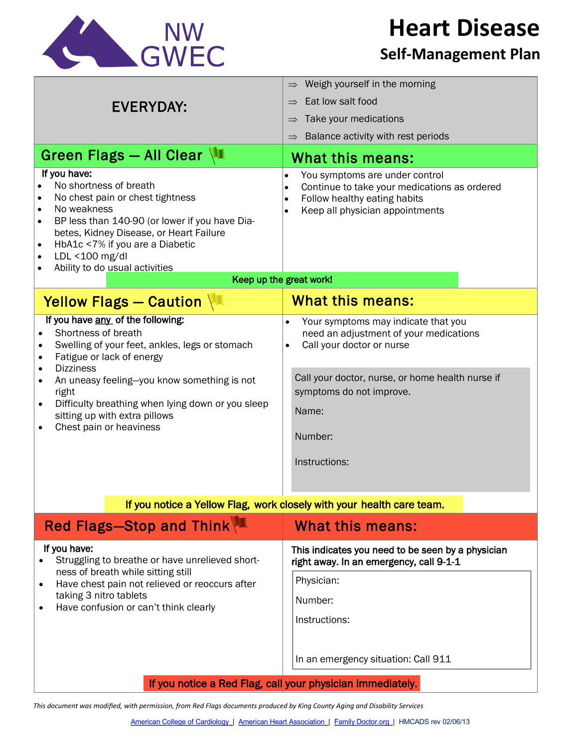

**Heart Disease**

## **Self-Management Plan**

| <b>EVERYDAY:</b>                                                                                                                                                                                                                                                                                                                                                                 | Weigh yourself in the morning<br>$\Rightarrow$                                                                                                                                                                                                            |
|----------------------------------------------------------------------------------------------------------------------------------------------------------------------------------------------------------------------------------------------------------------------------------------------------------------------------------------------------------------------------------|-----------------------------------------------------------------------------------------------------------------------------------------------------------------------------------------------------------------------------------------------------------|
|                                                                                                                                                                                                                                                                                                                                                                                  | Eat low salt food<br>$\Rightarrow$                                                                                                                                                                                                                        |
|                                                                                                                                                                                                                                                                                                                                                                                  | Take your medications<br>$\Rightarrow$                                                                                                                                                                                                                    |
|                                                                                                                                                                                                                                                                                                                                                                                  | Balance activity with rest periods<br>$\Rightarrow$                                                                                                                                                                                                       |
| Green Flags - All Clear                                                                                                                                                                                                                                                                                                                                                          | What this means:                                                                                                                                                                                                                                          |
| If you have:<br>No shortness of breath<br>$\bullet$<br>No chest pain or chest tightness<br>$\bullet$<br>No weakness<br>$\bullet$<br>BP less than 140-90 (or lower if you have Dia-<br>$\bullet$<br>betes, Kidney Disease, or Heart Failure<br>HbA1c <7% if you are a Diabetic<br>$\bullet$<br>LDL <100 mg/dl<br>$\bullet$<br>Ability to do usual activities<br>$\bullet$         | You symptoms are under control<br>Continue to take your medications as ordered<br>$\bullet$<br>Follow healthy eating habits<br>$\bullet$<br>Keep all physician appointments<br>$\bullet$                                                                  |
| Keep up the great work!                                                                                                                                                                                                                                                                                                                                                          |                                                                                                                                                                                                                                                           |
| Yellow Flags - Caution                                                                                                                                                                                                                                                                                                                                                           | <b>What this means:</b>                                                                                                                                                                                                                                   |
| If you have any of the following:<br>Shortness of breath<br>Swelling of your feet, ankles, legs or stomach<br>Fatigue or lack of energy<br><b>Dizziness</b><br>٠<br>An uneasy feeling-you know something is not<br>$\bullet$<br>right<br>Difficulty breathing when lying down or you sleep<br>$\bullet$<br>sitting up with extra pillows<br>Chest pain or heaviness<br>$\bullet$ | Your symptoms may indicate that you<br>$\bullet$<br>need an adjustment of your medications<br>Call your doctor or nurse<br>$\bullet$<br>Call your doctor, nurse, or home health nurse if<br>symptoms do not improve.<br>Name:<br>Number:<br>Instructions: |
| If you notice a Yellow Flag, work closely with your health care team.                                                                                                                                                                                                                                                                                                            |                                                                                                                                                                                                                                                           |
| Red Flags-Stop and Think                                                                                                                                                                                                                                                                                                                                                         | What this means:                                                                                                                                                                                                                                          |
| If you have:<br>Struggling to breathe or have unrelieved short-<br>ness of breath while sitting still                                                                                                                                                                                                                                                                            | This indicates you need to be seen by a physician<br>right away. In an emergency, call 9-1-1                                                                                                                                                              |
| Have chest pain not relieved or reoccurs after<br>taking 3 nitro tablets<br>Have confusion or can't think clearly                                                                                                                                                                                                                                                                | Physician:                                                                                                                                                                                                                                                |
|                                                                                                                                                                                                                                                                                                                                                                                  | Number:                                                                                                                                                                                                                                                   |
|                                                                                                                                                                                                                                                                                                                                                                                  | Instructions:<br>In an emergency situation: Call 911                                                                                                                                                                                                      |
|                                                                                                                                                                                                                                                                                                                                                                                  |                                                                                                                                                                                                                                                           |
| If you notice a Red Flag, call your physician immediately.                                                                                                                                                                                                                                                                                                                       |                                                                                                                                                                                                                                                           |

*This document was modified, with permission, from Red Flags documents produced by King County Aging and Disability Services*